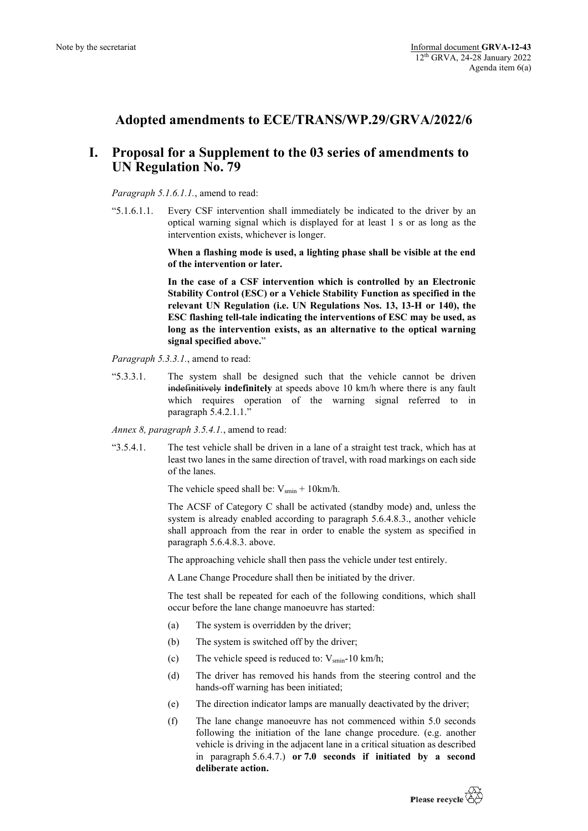## **Adopted amendments to ECE/TRANS/WP.29/GRVA/2022/6**

## **I. Proposal for a Supplement to the 03 series of amendments to UN Regulation No. 79**

## *Paragraph 5.1.6.1.1.*, amend to read:

"5.1.6.1.1. Every CSF intervention shall immediately be indicated to the driver by an optical warning signal which is displayed for at least 1 s or as long as the intervention exists, whichever is longer.

> **When a flashing mode is used, a lighting phase shall be visible at the end of the intervention or later.**

> **In the case of a CSF intervention which is controlled by an Electronic Stability Control (ESC) or a Vehicle Stability Function as specified in the relevant UN Regulation (i.e. UN Regulations Nos. 13, 13-H or 140), the ESC flashing tell-tale indicating the interventions of ESC may be used, as long as the intervention exists, as an alternative to the optical warning signal specified above.**"

*Paragraph 5.3.3.1.*, amend to read:

"5.3.3.1. The system shall be designed such that the vehicle cannot be driven indefinitively **indefinitely** at speeds above 10 km/h where there is any fault which requires operation of the warning signal referred to in paragraph 5.4.2.1.1."

*Annex 8, paragraph 3.5.4.1.*, amend to read:

"3.5.4.1. The test vehicle shall be driven in a lane of a straight test track, which has at least two lanes in the same direction of travel, with road markings on each side of the lanes.

The vehicle speed shall be:  $V_{smin}$  + 10km/h.

The ACSF of Category C shall be activated (standby mode) and, unless the system is already enabled according to paragraph 5.6.4.8.3., another vehicle shall approach from the rear in order to enable the system as specified in paragraph 5.6.4.8.3. above.

The approaching vehicle shall then pass the vehicle under test entirely.

A Lane Change Procedure shall then be initiated by the driver.

The test shall be repeated for each of the following conditions, which shall occur before the lane change manoeuvre has started:

- (a) The system is overridden by the driver;
- (b) The system is switched off by the driver;
- (c) The vehicle speed is reduced to:  $V_{\text{smin}}$ -10 km/h;
- (d) The driver has removed his hands from the steering control and the hands-off warning has been initiated;
- (e) The direction indicator lamps are manually deactivated by the driver;
- (f) The lane change manoeuvre has not commenced within 5.0 seconds following the initiation of the lane change procedure. (e.g. another vehicle is driving in the adjacent lane in a critical situation as described in paragraph 5.6.4.7.) **or 7.0 seconds if initiated by a second deliberate action.**

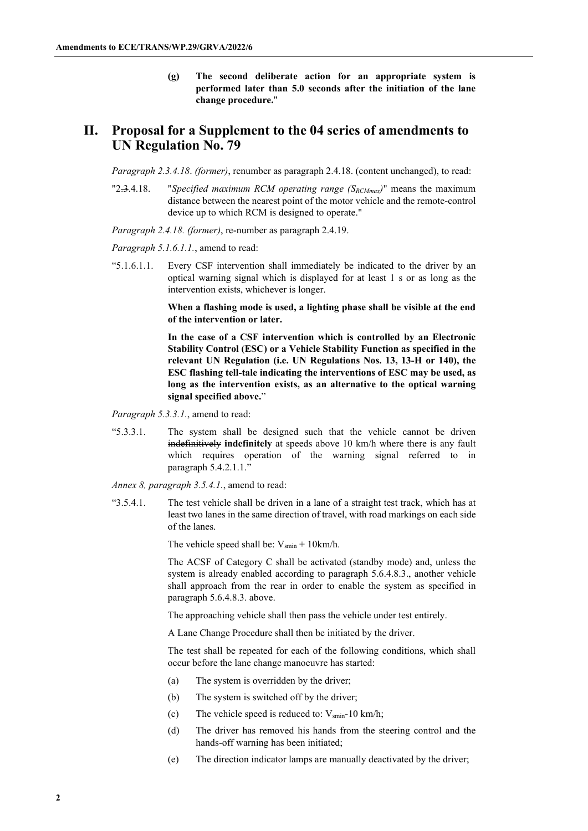**(g) The second deliberate action for an appropriate system is performed later than 5.0 seconds after the initiation of the lane change procedure.**"

## **II. Proposal for a Supplement to the 04 series of amendments to UN Regulation No. 79**

*Paragraph 2.3.4.18*. *(former)*, renumber as paragraph 2.4.18. (content unchanged), to read:

"2.3.4.18. "*Specified maximum RCM operating range (SRCMmax)*" means the maximum distance between the nearest point of the motor vehicle and the remote-control device up to which RCM is designed to operate."

*Paragraph 2.4.18. (former)*, re-number as paragraph 2.4.19.

*Paragraph 5.1.6.1.1.*, amend to read:

"5.1.6.1.1. Every CSF intervention shall immediately be indicated to the driver by an optical warning signal which is displayed for at least 1 s or as long as the intervention exists, whichever is longer.

> **When a flashing mode is used, a lighting phase shall be visible at the end of the intervention or later.**

> **In the case of a CSF intervention which is controlled by an Electronic Stability Control (ESC) or a Vehicle Stability Function as specified in the relevant UN Regulation (i.e. UN Regulations Nos. 13, 13-H or 140), the ESC flashing tell-tale indicating the interventions of ESC may be used, as long as the intervention exists, as an alternative to the optical warning signal specified above.**"

*Paragraph 5.3.3.1.*, amend to read:

"5.3.3.1. The system shall be designed such that the vehicle cannot be driven indefinitively **indefinitely** at speeds above 10 km/h where there is any fault which requires operation of the warning signal referred to in paragraph 5.4.2.1.1."

*Annex 8, paragraph 3.5.4.1.*, amend to read:

"3.5.4.1. The test vehicle shall be driven in a lane of a straight test track, which has at least two lanes in the same direction of travel, with road markings on each side of the lanes.

The vehicle speed shall be:  $V_{\text{smin}} + 10 \text{km/h}$ .

The ACSF of Category C shall be activated (standby mode) and, unless the system is already enabled according to paragraph 5.6.4.8.3., another vehicle shall approach from the rear in order to enable the system as specified in paragraph 5.6.4.8.3. above.

The approaching vehicle shall then pass the vehicle under test entirely.

A Lane Change Procedure shall then be initiated by the driver.

The test shall be repeated for each of the following conditions, which shall occur before the lane change manoeuvre has started:

- (a) The system is overridden by the driver;
- (b) The system is switched off by the driver;
- (c) The vehicle speed is reduced to:  $V_{\text{smin}}$ -10 km/h;
- (d) The driver has removed his hands from the steering control and the hands-off warning has been initiated;
- (e) The direction indicator lamps are manually deactivated by the driver;